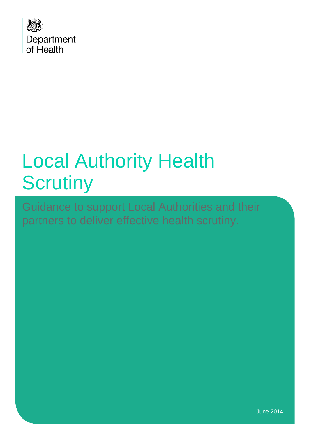

# Local Authority Health **Scrutiny**

Guidance to support Local Authorities and their partners to deliver effective health scrutiny.

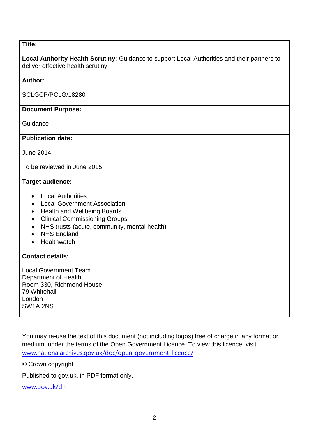### **Title:**

**Local Authority Health Scrutiny:** Guidance to support Local Authorities and their partners to deliver effective health scrutiny

#### **Author:**

SCLGCP/PCLG/18280

#### **Document Purpose:**

**Guidance** 

#### **Publication date:**

June 2014

To be reviewed in June 2015

#### **Target audience:**

- Local Authorities
- Local Government Association
- Health and Wellbeing Boards
- Clinical Commissioning Groups
- NHS trusts (acute, community, mental health)
- NHS England
- Healthwatch

#### **Contact details:**

Local Government Team Department of Health Room 330, Richmond House 79 Whitehall London SW1A 2NS

You may re-use the text of this document (not including logos) free of charge in any format or medium, under the terms of the Open Government Licence. To view this licence, visit [www.nationalarchives.gov.uk/doc/open-government-licence/](http://www.nationalarchives.gov.uk/doc/open-government-licence/)

<span id="page-1-0"></span>© Crown copyright

Published to gov.uk, in PDF format only.

www.gov.uk/dh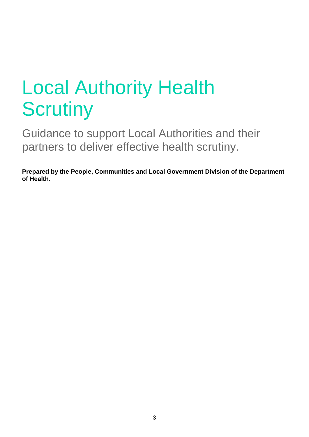# Local Authority Health **Scrutiny**

Guidance to support Local Authorities and their partners to deliver effective health scrutiny.

**Prepared by the People, Communities and Local Government Division of the Department of Health.**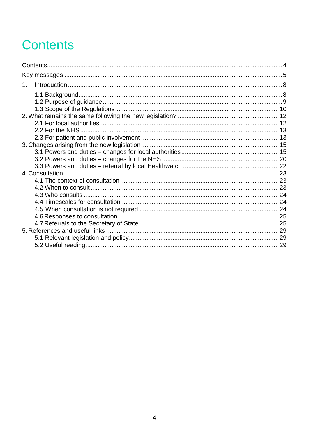# **Contents**

| 1 <sup>1</sup> |  |
|----------------|--|
|                |  |
|                |  |
|                |  |
|                |  |
|                |  |
|                |  |
|                |  |
|                |  |
|                |  |
|                |  |
|                |  |
|                |  |
|                |  |
|                |  |
|                |  |
|                |  |
|                |  |
|                |  |
|                |  |
|                |  |
|                |  |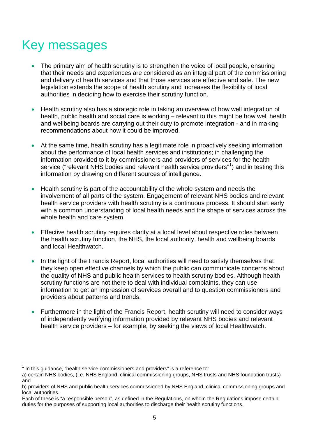# Key messages

- The primary aim of health scrutiny is to strengthen the voice of local people, ensuring that their needs and experiences are considered as an integral part of the commissioning and delivery of health services and that those services are effective and safe. The new legislation extends the scope of health scrutiny and increases the flexibility of local authorities in deciding how to exercise their scrutiny function.
- Health scrutiny also has a strategic role in taking an overview of how well integration of health, public health and social care is working – relevant to this might be how well health and wellbeing boards are carrying out their duty to promote integration - and in making recommendations about how it could be improved.
- At the same time, health scrutiny has a legitimate role in proactively seeking information about the performance of local health services and institutions; in challenging the information provided to it by commissioners and providers of services for the health service ("relevant NHS bodies and relevant health service providers"<sup>[1](#page-1-0)</sup>) and in testing this information by drawing on different sources of intelligence.
- Health scrutiny is part of the accountability of the whole system and needs the involvement of all parts of the system. Engagement of relevant NHS bodies and relevant health service providers with health scrutiny is a continuous process. It should start early with a common understanding of local health needs and the shape of services across the whole health and care system.
- Effective health scrutiny requires clarity at a local level about respective roles between the health scrutiny function, the NHS, the local authority, health and wellbeing boards and local Healthwatch.
- In the light of the Francis Report, local authorities will need to satisfy themselves that they keep open effective channels by which the public can communicate concerns about the quality of NHS and public health services to health scrutiny bodies. Although health scrutiny functions are not there to deal with individual complaints, they can use information to get an impression of services overall and to question commissioners and providers about patterns and trends.
- Furthermore in the light of the Francis Report, health scrutiny will need to consider ways of independently verifying information provided by relevant NHS bodies and relevant health service providers – for example, by seeking the views of local Healthwatch.

In this quidance, "health service commissioners and providers" is a reference to:

a) certain NHS bodies, (i.e. NHS England, clinical commissioning groups, NHS trusts and NHS foundation trusts) and

b) providers of NHS and public health services commissioned by NHS England, clinical commissioning groups and local authorities.

<span id="page-4-0"></span>Each of these is "a responsible person", as defined in the Regulations, on whom the Regulations impose certain duties for the purposes of supporting local authorities to discharge their health scrutiny functions.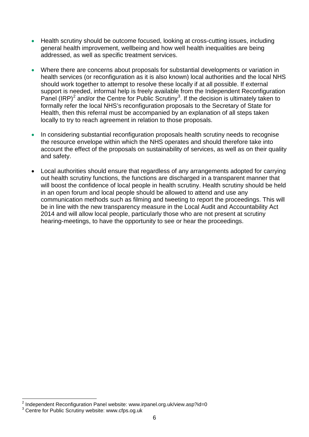- Health scrutiny should be outcome focused, looking at cross-cutting issues, including general health improvement, wellbeing and how well health inequalities are being addressed, as well as specific treatment services.
- Where there are concerns about proposals for substantial developments or variation in health services (or reconfiguration as it is also known) local authorities and the local NHS should work together to attempt to resolve these locally if at all possible. If external support is needed, informal help is freely available from the Independent Reconfiguration Panel (IRP)<sup>[2](#page-4-0)</sup> and/or the Centre for Public Scrutiny<sup>[3](#page-5-0)</sup>. If the decision is ultimately taken to formally refer the local NHS's reconfiguration proposals to the Secretary of State for Health, then this referral must be accompanied by an explanation of all steps taken locally to try to reach agreement in relation to those proposals.
- In considering substantial reconfiguration proposals health scrutiny needs to recognise the resource envelope within which the NHS operates and should therefore take into account the effect of the proposals on sustainability of services, as well as on their quality and safety.
- Local authorities should ensure that regardless of any arrangements adopted for carrying out health scrutiny functions, the functions are discharged in a transparent manner that will boost the confidence of local people in health scrutiny. Health scrutiny should be held in an open forum and local people should be allowed to attend and use any communication methods such as filming and tweeting to report the proceedings. This will be in line with the new transparency measure in the Local Audit and Accountability Act 2014 and will allow local people, particularly those who are not present at scrutiny hearing-meetings, to have the opportunity to see or hear the proceedings.

<span id="page-5-1"></span><sup>&</sup>lt;sup>2</sup> Independent Reconfiguration Panel website: www.irpanel.org.uk/view.asp?id=0  $^3$  Centre for Public Scrutiny website: www.cfps.og.uk

<span id="page-5-0"></span>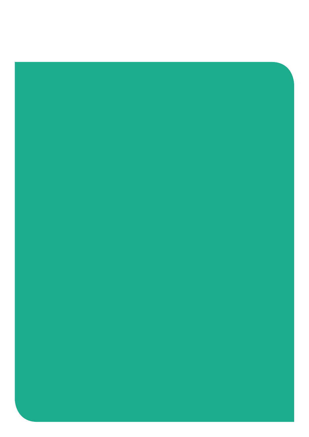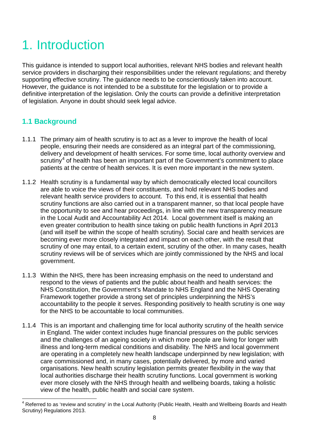# 1. Introduction

This guidance is intended to support local authorities, relevant NHS bodies and relevant health service providers in discharging their responsibilities under the relevant regulations; and thereby supporting effective scrutiny. The guidance needs to be conscientiously taken into account. However, the guidance is not intended to be a substitute for the legislation or to provide a definitive interpretation of the legislation. Only the courts can provide a definitive interpretation of legislation. Anyone in doubt should seek legal advice.

## **1.1 Background**

- 1.1.1 The primary aim of health scrutiny is to act as a lever to improve the health of local people, ensuring their needs are considered as an integral part of the commissioning, delivery and development of health services. For some time, local authority overview and scrutiny<sup>[4](#page-5-1)</sup> of health has been an important part of the Government's commitment to place patients at the centre of health services. It is even more important in the new system.
- 1.1.2 Health scrutiny is a fundamental way by which democratically elected local councillors are able to voice the views of their constituents, and hold relevant NHS bodies and relevant health service providers to account. To this end, it is essential that health scrutiny functions are also carried out in a transparent manner, so that local people have the opportunity to see and hear proceedings, in line with the new transparency measure in the Local Audit and Accountability Act 2014. Local government itself is making an even greater contribution to health since taking on public health functions in April 2013 (and will itself be within the scope of health scrutiny). Social care and health services are becoming ever more closely integrated and impact on each other, with the result that scrutiny of one may entail, to a certain extent, scrutiny of the other. In many cases, health scrutiny reviews will be of services which are jointly commissioned by the NHS and local government.
- 1.1.3 Within the NHS, there has been increasing emphasis on the need to understand and respond to the views of patients and the public about health and health services: the NHS Constitution, the Government's Mandate to NHS England and the NHS Operating Framework together provide a strong set of principles underpinning the NHS's accountability to the people it serves. Responding positively to health scrutiny is one way for the NHS to be accountable to local communities.
- 1.1.4 This is an important and challenging time for local authority scrutiny of the health service in England. The wider context includes huge financial pressures on the public services and the challenges of an ageing society in which more people are living for longer with illness and long-term medical conditions and disability. The NHS and local government are operating in a completely new health landscape underpinned by new legislation; with care commissioned and, in many cases, potentially delivered, by more and varied organisations. New health scrutiny legislation permits greater flexibility in the way that local authorities discharge their health scrutiny functions. Local government is working ever more closely with the NHS through health and wellbeing boards, taking a holistic view of the health, public health and social care system.

<span id="page-7-0"></span><sup>&</sup>lt;sup>4</sup> Referred to as 'review and scrutiny' in the Local Authority (Public Health, Health and Wellbeing Boards and Health Scrutiny) Regulations 2013.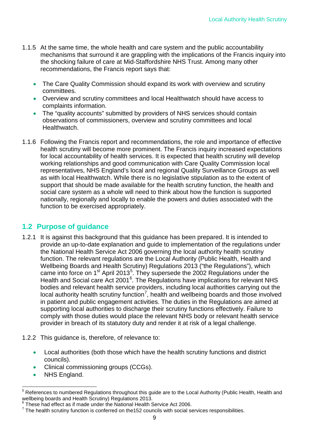- 1.1.5 At the same time, the whole health and care system and the public accountability mechanisms that surround it are grappling with the implications of the Francis inquiry into the shocking failure of care at Mid-Staffordshire NHS Trust. Among many other recommendations, the Francis report says that:
	- The Care Quality Commission should expand its work with overview and scrutiny committees.
	- Overview and scrutiny committees and local Healthwatch should have access to complaints information.
	- The "quality accounts" submitted by providers of NHS services should contain observations of commissioners, overview and scrutiny committees and local Healthwatch.
- 1.1.6 Following the Francis report and recommendations, the role and importance of effective health scrutiny will become more prominent. The Francis inquiry increased expectations for local accountability of health services. It is expected that health scrutiny will develop working relationships and good communication with Care Quality Commission local representatives, NHS England's local and regional Quality Surveillance Groups as well as with local Healthwatch. While there is no legislative stipulation as to the extent of support that should be made available for the health scrutiny function, the health and social care system as a whole will need to think about how the function is supported nationally, regionally and locally to enable the powers and duties associated with the function to be exercised appropriately.

### **1.2 Purpose of guidance**

- 1.2.1 It is against this background that this guidance has been prepared. It is intended to provide an up-to-date explanation and guide to implementation of the regulations under the National Health Service Act 2006 governing the local authority health scrutiny function. The relevant regulations are the Local Authority (Public Health, Health and Wellbeing Boards and Health Scrutiny) Regulations 2013 ("the Regulations"), which came into force on 1<sup>st</sup> April 2013<sup>[5](#page-7-0)</sup>. They supersede the 2002 Regulations under the Health and Social care Act 2001<sup>[6](#page-8-0)</sup>. The Regulations have implications for relevant NHS bodies and relevant health service providers, including local authorities carrying out the local authority health scrutiny function<sup>[7](#page-8-1)</sup>, health and wellbeing boards and those involved in patient and public engagement activities. The duties in the Regulations are aimed at supporting local authorities to discharge their scrutiny functions effectively. Failure to comply with those duties would place the relevant NHS body or relevant health service provider in breach of its statutory duty and render it at risk of a legal challenge.
- 1.2.2 This guidance is, therefore, of relevance to:
	- Local authorities (both those which have the health scrutiny functions and district councils).
	- Clinical commissioning groups (CCGs).
	- NHS England.

<span id="page-8-2"></span> $5$  References to numbered Regulations throughout this guide are to the Local Authority (Public Health, Health and wellbeing boards and Health Scrutiny) Regulations 2013.

<span id="page-8-0"></span> $6$  These had effect as if made under the National Health Service Act 2006.

<span id="page-8-1"></span> $7$  The health scrutiny function is conferred on the 152 councils with social services responsibilities.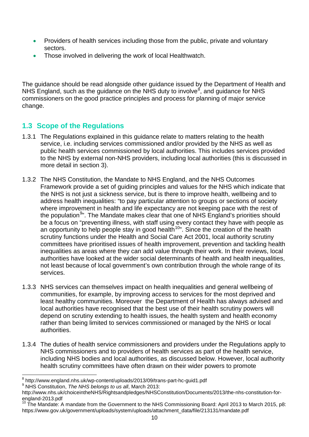- Providers of health services including those from the public, private and voluntary sectors.
- Those involved in delivering the work of local Healthwatch.

The guidance should be read alongside other guidance issued by the Department of Health and NHS England, such as the guidance on the NHS duty to involve<sup>[8](#page-8-2)</sup>, and guidance for NHS commissioners on the good practice principles and process for planning of major service change.

# **1.3 Scope of the Regulations**

- 1.3.1 The Regulations explained in this guidance relate to matters relating to the health service, i.e. including services commissioned and/or provided by the NHS as well as public health services commissioned by local authorities. This includes services provided to the NHS by external non-NHS providers, including local authorities (this is discussed in more detail in section 3).
- 1.3.2 The NHS Constitution, the Mandate to NHS England, and the NHS Outcomes Framework provide a set of guiding principles and values for the NHS which indicate that the NHS is not just a sickness service, but is there to improve health, wellbeing and to address health inequalities: "to pay particular attention to groups or sections of society where improvement in health and life expectancy are not keeping pace with the rest of the population<sup>[9](#page-9-0)</sup>". The Mandate makes clear that one of NHS England's priorities should be a focus on "preventing illness, with staff using every contact they have with people as an opportunity to help people stay in good health<sup>[10](#page-9-1)</sup>. Since the creation of the health scrutiny functions under the Health and Social Care Act 2001, local authority scrutiny committees have prioritised issues of health improvement, prevention and tackling health inequalities as areas where they can add value through their work. In their reviews, local authorities have looked at the wider social determinants of health and health inequalities, not least because of local government's own contribution through the whole range of its services.
- 1.3.3 NHS services can themselves impact on health inequalities and general wellbeing of communities, for example, by improving access to services for the most deprived and least healthy communities. Moreover the Department of Health has always advised and local authorities have recognised that the best use of their health scrutiny powers will depend on scrutiny extending to health issues, the health system and health economy rather than being limited to services commissioned or managed by the NHS or local authorities.
- 1.3.4 The duties of health service commissioners and providers under the Regulations apply to NHS commissioners and to providers of health services as part of the health service, including NHS bodies and local authorities, as discussed below. However, local authority health scrutiny committees have often drawn on their wider powers to promote

<span id="page-9-2"></span><sup>8</sup> <http://www.england.nhs.uk/wp-content/uploads/2013/09/trans-part-hc-guid1.pdf> <sup>9</sup> NHS Constitution, *The NHS belongs to us all*, March 2013:

<span id="page-9-0"></span>

http://www.nhs.uk/choiceintheNHS/Rightsandpledges/NHSConstitution/Documents/2013/the-nhs-constitution-for-

<span id="page-9-1"></span> $10$  The Mandate: A mandate from the Government to the NHS Commissioning Board: April 2013 to March 2015, p8: https://www.gov.uk/government/uploads/system/uploads/attachment\_data/file/213131/mandate.pdf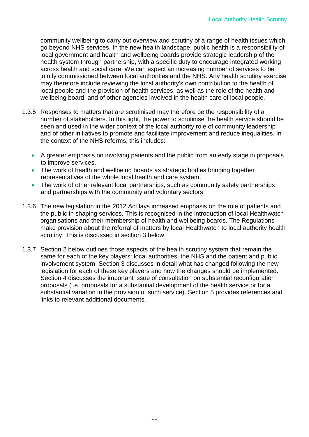community wellbeing to carry out overview and scrutiny of a range of health issues which go beyond NHS services. In the new health landscape, public health is a responsibility of local government and health and wellbeing boards provide strategic leadership of the health system through partnership, with a specific duty to encourage integrated working across health and social care. We can expect an increasing number of services to be jointly commissioned between local authorities and the NHS. Any health scrutiny exercise may therefore include reviewing the local authority's own contribution to the health of local people and the provision of health services, as well as the role of the health and wellbeing board, and of other agencies involved in the health care of local people.

- 1.3.5 Responses to matters that are scrutinised may therefore be the responsibility of a number of stakeholders. In this light, the power to scrutinise the health service should be seen and used in the wider context of the local authority role of community leadership and of other initiatives to promote and facilitate improvement and reduce inequalities. In the context of the NHS reforms, this includes:
	- A greater emphasis on involving patients and the public from an early stage in proposals to improve services.
	- The work of health and wellbeing boards as strategic bodies bringing together representatives of the whole local health and care system.
	- The work of other relevant local partnerships, such as community safety partnerships and partnerships with the community and voluntary sectors.
- 1.3.6 The new legislation in the 2012 Act lays increased emphasis on the role of patients and the public in shaping services. This is recognised in the introduction of local Healthwatch organisations and their membership of health and wellbeing boards. The Regulations make provision about the referral of matters by local Healthwatch to local authority health scrutiny. This is discussed in section 3 below.
- 1.3.7 Section 2 below outlines those aspects of the health scrutiny system that remain the same for each of the key players: local authorities, the NHS and the patient and public involvement system. Section 3 discusses in detail what has changed following the new legislation for each of these key players and how the changes should be implemented. Section 4 discusses the important issue of consultation on substantial reconfiguration proposals (i.e. proposals for a substantial development of the health service or for a substantial variation in the provision of such service). Section 5 provides references and links to relevant additional documents.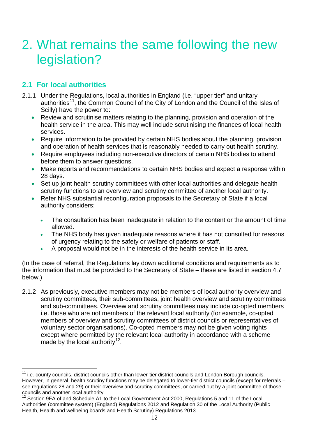# 2. What remains the same following the new legislation?

# **2.1 For local authorities**

- 2.1.1 Under the Regulations, local authorities in England (i.e. "upper tier" and unitary authorities<sup>[11](#page-9-2)</sup>, the Common Council of the City of London and the Council of the Isles of Scilly) have the power to:
	- Review and scrutinise matters relating to the planning, provision and operation of the health service in the area. This may well include scrutinising the finances of local health services.
	- Require information to be provided by certain NHS bodies about the planning, provision and operation of health services that is reasonably needed to carry out health scrutiny.
	- Require employees including non-executive directors of certain NHS bodies to attend before them to answer questions.
	- Make reports and recommendations to certain NHS bodies and expect a response within 28 days.
	- Set up joint health scrutiny committees with other local authorities and delegate health scrutiny functions to an overview and scrutiny committee of another local authority.
	- Refer NHS substantial reconfiguration proposals to the Secretary of State if a local authority considers:
		- The consultation has been inadequate in relation to the content or the amount of time allowed.
		- The NHS body has given inadequate reasons where it has not consulted for reasons of urgency relating to the safety or welfare of patients or staff.
		- A proposal would not be in the interests of the health service in its area.

(In the case of referral, the Regulations lay down additional conditions and requirements as to the information that must be provided to the Secretary of State – these are listed in section 4.7 below.)

2.1.2 As previously, executive members may not be members of local authority overview and scrutiny committees, their sub-committees, joint health overview and scrutiny committees and sub-committees. Overview and scrutiny committees may include co-opted members i.e. those who are not members of the relevant local authority (for example, co-opted members of overview and scrutiny committees of district councils or representatives of voluntary sector organisations). Co-opted members may not be given voting rights except where permitted by the relevant local authority in accordance with a scheme made by the local authority<sup>[12](#page-11-0)</sup>.

 $11$  i.e. county councils, district councils other than lower-tier district councils and London Borough councils. However, in general, health scrutiny functions may be delegated to lower-tier district councils (except for referrals – see regulations 28 and 29) or their overview and scrutiny committees, or carried out by a joint committee of those councils and another local authority.

<span id="page-11-1"></span><span id="page-11-0"></span> $12$  Section 9FA of and Schedule A1 to the Local Government Act 2000, Regulations 5 and 11 of the Local Authorities (committee system) (England) Regulations 2012 and Regulation 30 of the Local Authority (Public Health, Health and wellbeing boards and Health Scrutiny) Regulations 2013.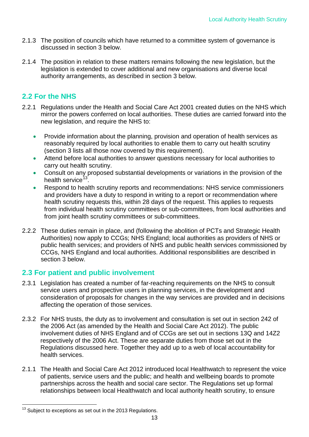- 2.1.3 The position of councils which have returned to a committee system of governance is discussed in section 3 below.
- 2.1.4 The position in relation to these matters remains following the new legislation, but the legislation is extended to cover additional and new organisations and diverse local authority arrangements, as described in section 3 below.

## **2.2 For the NHS**

- 2.2.1 Regulations under the Health and Social Care Act 2001 created duties on the NHS which mirror the powers conferred on local authorities. These duties are carried forward into the new legislation, and require the NHS to:
	- Provide information about the planning, provision and operation of health services as reasonably required by local authorities to enable them to carry out health scrutiny (section 3 lists all those now covered by this requirement).
	- Attend before local authorities to answer questions necessary for local authorities to carry out health scrutiny.
	- Consult on any proposed substantial developments or variations in the provision of the health service<sup>13</sup>
	- Respond to health scrutiny reports and recommendations: NHS service commissioners and providers have a duty to respond in writing to a report or recommendation where health scrutiny requests this, within 28 days of the request. This applies to requests from individual health scrutiny committees or sub-committees, from local authorities and from joint health scrutiny committees or sub-committees.
- 2.2.2 These duties remain in place, and (following the abolition of PCTs and Strategic Health Authorities) now apply to CCGs; NHS England; local authorities as providers of NHS or public health services; and providers of NHS and public health services commissioned by CCGs, NHS England and local authorities. Additional responsibilities are described in section 3 below.

### **2.3 For patient and public involvement**

- 2.3.1 Legislation has created a number of far-reaching requirements on the NHS to consult service users and prospective users in planning services, in the development and consideration of proposals for changes in the way services are provided and in decisions affecting the operation of those services.
- 2.3.2 For NHS trusts, the duty as to involvement and consultation is set out in section 242 of the 2006 Act (as amended by the Health and Social Care Act 2012). The public involvement duties of NHS England and of CCGs are set out in sections 13Q and 14Z2 respectively of the 2006 Act. These are separate duties from those set out in the Regulations discussed here. Together they add up to a web of local accountability for health services.
- 2.1.1 The Health and Social Care Act 2012 introduced local Healthwatch to represent the voice of patients, service users and the public; and health and wellbeing boards to promote partnerships across the health and social care sector. The Regulations set up formal relationships between local Healthwatch and local authority health scrutiny, to ensure

<span id="page-12-0"></span> $13$  Subject to exceptions as set out in the 2013 Regulations.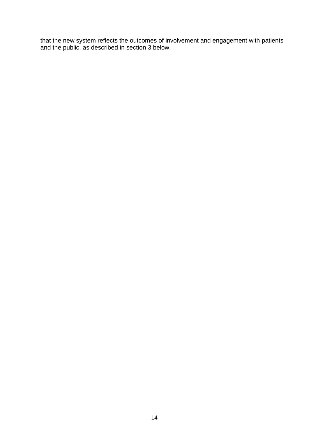that the new system reflects the outcomes of involvement and engagement with patients and the public, as described in section 3 below.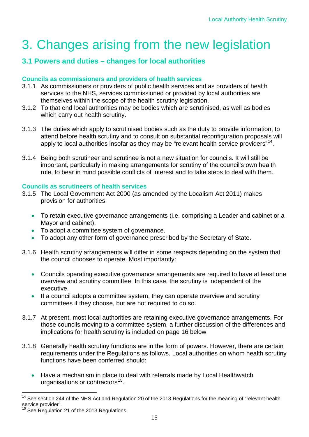# 3. Changes arising from the new legislation

# **3.1 Powers and duties – changes for local authorities**

#### **Councils as commissioners and providers of health services**

- 3.1.1 As commissioners or providers of public health services and as providers of health services to the NHS, services commissioned or provided by local authorities are themselves within the scope of the health scrutiny legislation.
- 3.1.2 To that end local authorities may be bodies which are scrutinised, as well as bodies which carry out health scrutiny.
- 3.1.3 The duties which apply to scrutinised bodies such as the duty to provide information, to attend before health scrutiny and to consult on substantial reconfiguration proposals will apply to local authorities insofar as they may be "relevant health service providers"<sup>[14](#page-12-0)</sup>.
- 3.1.4 Being both scrutineer and scrutinee is not a new situation for councils. It will still be important, particularly in making arrangements for scrutiny of the council's own health role, to bear in mind possible conflicts of interest and to take steps to deal with them.

#### **Councils as scrutineers of health services**

- 3.1.5 The Local Government Act 2000 (as amended by the Localism Act 2011) makes provision for authorities:
	- To retain executive governance arrangements (i.e. comprising a Leader and cabinet or a Mayor and cabinet).
	- To adopt a committee system of governance.
	- To adopt any other form of governance prescribed by the Secretary of State.
- 3.1.6 Health scrutiny arrangements will differ in some respects depending on the system that the council chooses to operate. Most importantly:
	- Councils operating executive governance arrangements are required to have at least one overview and scrutiny committee. In this case, the scrutiny is independent of the executive.
	- If a council adopts a committee system, they can operate overview and scrutiny committees if they choose, but are not required to do so.
- 3.1.7 At present, most local authorities are retaining executive governance arrangements. For those councils moving to a committee system, a further discussion of the differences and implications for health scrutiny is included on page 16 below.
- 3.1.8 Generally health scrutiny functions are in the form of powers. However, there are certain requirements under the Regulations as follows. Local authorities on whom health scrutiny functions have been conferred should:
	- Have a mechanism in place to deal with referrals made by Local Healthwatch organisations or contractors<sup>[15](#page-14-0)</sup>.

<span id="page-14-1"></span><sup>&</sup>lt;sup>14</sup> See section 244 of the NHS Act and Regulation 20 of the 2013 Regulations for the meaning of "relevant health service provider".

<span id="page-14-0"></span><sup>&</sup>lt;sup>15</sup> See Regulation 21 of the 2013 Regulations.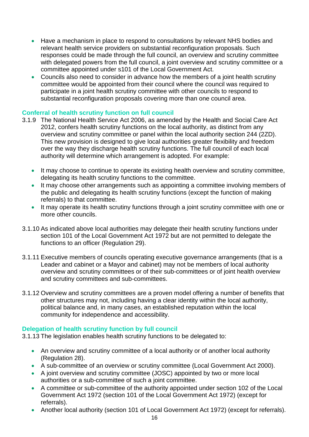- Have a mechanism in place to respond to consultations by relevant NHS bodies and relevant health service providers on substantial reconfiguration proposals. Such responses could be made through the full council, an overview and scrutiny committee with delegated powers from the full council, a joint overview and scrutiny committee or a committee appointed under s101 of the Local Government Act.
- Councils also need to consider in advance how the members of a joint health scrutiny committee would be appointed from their council where the council was required to participate in a joint health scrutiny committee with other councils to respond to substantial reconfiguration proposals covering more than one council area.

#### **Conferral of health scrutiny function on full council**

- 3.1.9 The National Health Service Act 2006, as amended by the Health and Social Care Act 2012, confers health scrutiny functions on the local authority, as distinct from any overview and scrutiny committee or panel within the local authority section 244 (2ZD). This new provision is designed to give local authorities greater flexibility and freedom over the way they discharge health scrutiny functions. The full council of each local authority will determine which arrangement is adopted. For example:
	- It may choose to continue to operate its existing health overview and scrutiny committee, delegating its health scrutiny functions to the committee.
	- It may choose other arrangements such as appointing a committee involving members of the public and delegating its health scrutiny functions (except the function of making referrals) to that committee.
	- It may operate its health scrutiny functions through a joint scrutiny committee with one or more other councils.
- 3.1.10 As indicated above local authorities may delegate their health scrutiny functions under section 101 of the Local Government Act 1972 but are not permitted to delegate the functions to an officer (Regulation 29).
- 3.1.11 Executive members of councils operating executive governance arrangements (that is a Leader and cabinet or a Mayor and cabinet) may not be members of local authority overview and scrutiny committees or of their sub-committees or of joint health overview and scrutiny committees and sub-committees.
- 3.1.12 Overview and scrutiny committees are a proven model offering a number of benefits that other structures may not, including having a clear identity within the local authority, political balance and, in many cases, an established reputation within the local community for independence and accessibility.

#### **Delegation of health scrutiny function by full council**

3.1.13 The legislation enables health scrutiny functions to be delegated to:

- An overview and scrutiny committee of a local authority or of another local authority (Regulation 28).
- A sub-committee of an overview or scrutiny committee (Local Government Act 2000).
- A joint overview and scrutiny committee (JOSC) appointed by two or more local authorities or a sub-committee of such a joint committee.
- A committee or sub-committee of the authority appointed under section 102 of the Local Government Act 1972 (section 101 of the Local Government Act 1972) (except for referrals).
- Another local authority (section 101 of Local Government Act 1972) (except for referrals).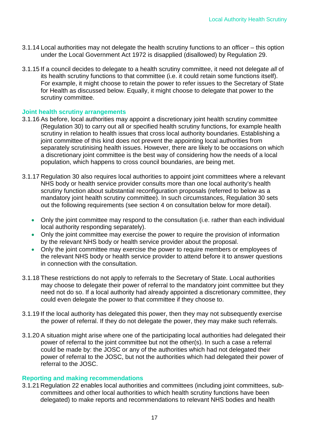- 3.1.14 Local authorities may not delegate the health scrutiny functions to an officer this option under the Local Government Act 1972 is disapplied (disallowed) by Regulation 29.
- 3.1.15 If a council decides to delegate to a health scrutiny committee, it need not delegate *all* of its health scrutiny functions to that committee (i.e. it could retain some functions itself). For example, it might choose to retain the power to refer issues to the Secretary of State for Health as discussed below. Equally, it might choose to delegate that power to the scrutiny committee.

#### **Joint health scrutiny arrangements**

- 3.1.16 As before, local authorities may appoint a discretionary joint health scrutiny committee (Regulation 30) to carry out all or specified health scrutiny functions, for example health scrutiny in relation to health issues that cross local authority boundaries. Establishing a joint committee of this kind does not prevent the appointing local authorities from separately scrutinising health issues. However, there are likely to be occasions on which a discretionary joint committee is the best way of considering how the needs of a local population, which happens to cross council boundaries, are being met.
- 3.1.17 Regulation 30 also requires local authorities to appoint joint committees where a relevant NHS body or health service provider consults more than one local authority's health scrutiny function about substantial reconfiguration proposals (referred to below as a mandatory joint health scrutiny committee). In such circumstances, Regulation 30 sets out the following requirements (see section 4 on consultation below for more detail).
	- Only the joint committee may respond to the consultation (i.e. rather than each individual local authority responding separately).
	- Only the joint committee may exercise the power to require the provision of information by the relevant NHS body or health service provider about the proposal.
	- Only the joint committee may exercise the power to require members or employees of the relevant NHS body or health service provider to attend before it to answer questions in connection with the consultation.
- 3.1.18 These restrictions do not apply to referrals to the Secretary of State. Local authorities may choose to delegate their power of referral to the mandatory joint committee but they need not do so. If a local authority had already appointed a discretionary committee, they could even delegate the power to that committee if they choose to.
- 3.1.19 If the local authority has delegated this power, then they may not subsequently exercise the power of referral. If they do not delegate the power, they may make such referrals.
- 3.1.20 A situation might arise where one of the participating local authorities had delegated their power of referral to the joint committee but not the other(s). In such a case a referral could be made by: the JOSC or any of the authorities which had not delegated their power of referral to the JOSC, but not the authorities which had delegated their power of referral to the JOSC.

#### **Reporting and making recommendations**

3.1.21 Regulation 22 enables local authorities and committees (including joint committees, subcommittees and other local authorities to which health scrutiny functions have been delegated) to make reports and recommendations to relevant NHS bodies and health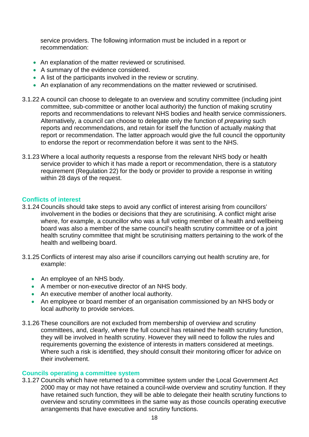service providers. The following information must be included in a report or recommendation:

- An explanation of the matter reviewed or scrutinised.
- A summary of the evidence considered.
- A list of the participants involved in the review or scrutiny.
- An explanation of any recommendations on the matter reviewed or scrutinised.
- 3.1.22 A council can choose to delegate to an overview and scrutiny committee (including joint committee, sub-committee or another local authority) the function of making scrutiny reports and recommendations to relevant NHS bodies and health service commissioners. Alternatively, a council can choose to delegate only the function of *preparing* such reports and recommendations, and retain for itself the function of actually *making* that report or recommendation. The latter approach would give the full council the opportunity to endorse the report or recommendation before it was sent to the NHS.
- 3.1.23 Where a local authority requests a response from the relevant NHS body or health service provider to which it has made a report or recommendation, there is a statutory requirement (Regulation 22) for the body or provider to provide a response in writing within 28 days of the request.

#### **Conflicts of interest**

- 3.1.24 Councils should take steps to avoid any conflict of interest arising from councillors' involvement in the bodies or decisions that they are scrutinising. A conflict might arise where, for example, a councillor who was a full voting member of a health and wellbeing board was also a member of the same council's health scrutiny committee or of a joint health scrutiny committee that might be scrutinising matters pertaining to the work of the health and wellbeing board.
- 3.1.25 Conflicts of interest may also arise if councillors carrying out health scrutiny are, for example:
	- An employee of an NHS body.
	- A member or non-executive director of an NHS body.
	- An executive member of another local authority.
	- An employee or board member of an organisation commissioned by an NHS body or local authority to provide services.
- 3.1.26 These councillors are not excluded from membership of overview and scrutiny committees, and, clearly, where the full council has retained the health scrutiny function, they will be involved in health scrutiny. However they will need to follow the rules and requirements governing the existence of interests in matters considered at meetings. Where such a risk is identified, they should consult their monitoring officer for advice on their involvement.

#### **Councils operating a committee system**

3.1.27 Councils which have returned to a committee system under the Local Government Act 2000 may or may not have retained a council-wide overview and scrutiny function. If they have retained such function, they will be able to delegate their health scrutiny functions to overview and scrutiny committees in the same way as those councils operating executive arrangements that have executive and scrutiny functions.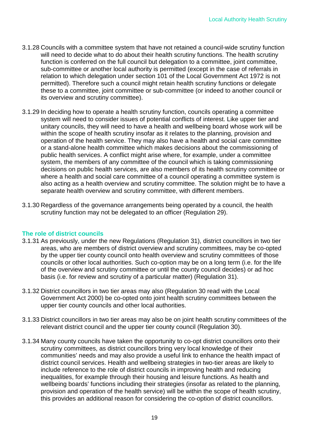- 3.1.28 Councils with a committee system that have not retained a council-wide scrutiny function will need to decide what to do about their health scrutiny functions. The health scrutiny function is conferred on the full council but delegation to a committee, joint committee, sub-committee or another local authority is permitted (except in the case of referrals in relation to which delegation under section 101 of the Local Government Act 1972 is not permitted). Therefore such a council might retain health scrutiny functions or delegate these to a committee, joint committee or sub-committee (or indeed to another council or its overview and scrutiny committee).
- 3.1.29 In deciding how to operate a health scrutiny function, councils operating a committee system will need to consider issues of potential conflicts of interest. Like upper tier and unitary councils, they will need to have a health and wellbeing board whose work will be within the scope of health scrutiny insofar as it relates to the planning, provision and operation of the health service. They may also have a health and social care committee or a stand-alone health committee which makes decisions about the commissioning of public health services. A conflict might arise where, for example, under a committee system, the members of any committee of the council which is taking commissioning decisions on public health services, are also members of its health scrutiny committee or where a health and social care committee of a council operating a committee system is also acting as a health overview and scrutiny committee. The solution might be to have a separate health overview and scrutiny committee, with different members.
- 3.1.30 Regardless of the governance arrangements being operated by a council, the health scrutiny function may not be delegated to an officer (Regulation 29).

#### **The role of district councils**

- 3.1.31 As previously, under the new Regulations (Regulation 31), district councillors in two tier areas, who are members of district overview and scrutiny committees, may be co-opted by the upper tier county council onto health overview and scrutiny committees of those councils or other local authorities. Such co-option may be on a long term (i.e. for the life of the overview and scrutiny committee or until the county council decides) or ad hoc basis (i.e. for review and scrutiny of a particular matter) (Regulation 31).
- 3.1.32 District councillors in two tier areas may also (Regulation 30 read with the Local Government Act 2000) be co-opted onto joint health scrutiny committees between the upper tier county councils and other local authorities.
- 3.1.33 District councillors in two tier areas may also be on joint health scrutiny committees of the relevant district council and the upper tier county council (Regulation 30).
- 3.1.34 Many county councils have taken the opportunity to co-opt district councillors onto their scrutiny committees, as district councillors bring very local knowledge of their communities' needs and may also provide a useful link to enhance the health impact of district council services. Health and wellbeing strategies in two-tier areas are likely to include reference to the role of district councils in improving health and reducing inequalities, for example through their housing and leisure functions. As health and wellbeing boards' functions including their strategies (insofar as related to the planning, provision and operation of the health service) will be within the scope of health scrutiny, this provides an additional reason for considering the co-option of district councillors.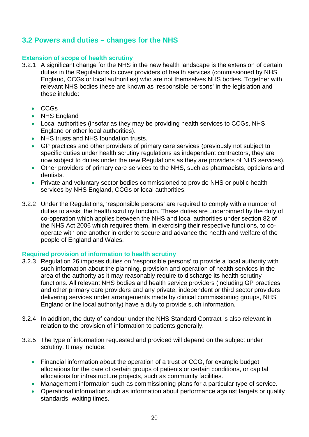### **3.2 Powers and duties – changes for the NHS**

#### **Extension of scope of health scrutiny**

- 3.2.1 A significant change for the NHS in the new health landscape is the extension of certain duties in the Regulations to cover providers of health services (commissioned by NHS England, CCGs or local authorities) who are not themselves NHS bodies. Together with relevant NHS bodies these are known as 'responsible persons' in the legislation and these include:
	- CCGs
	- NHS England
	- Local authorities (insofar as they may be providing health services to CCGs, NHS England or other local authorities).
	- NHS trusts and NHS foundation trusts.
	- GP practices and other providers of primary care services (previously not subject to specific duties under health scrutiny regulations as independent contractors, they are now subject to duties under the new Regulations as they are providers of NHS services).
	- Other providers of primary care services to the NHS, such as pharmacists, opticians and dentists.
	- Private and voluntary sector bodies commissioned to provide NHS or public health services by NHS England, CCGs or local authorities.
- 3.2.2 Under the Regulations, 'responsible persons' are required to comply with a number of duties to assist the health scrutiny function. These duties are underpinned by the duty of co-operation which applies between the NHS and local authorities under section 82 of the NHS Act 2006 which requires them, in exercising their respective functions, to cooperate with one another in order to secure and advance the health and welfare of the people of England and Wales.

#### **Required provision of information to health scrutiny**

- 3.2.3 Regulation 26 imposes duties on 'responsible persons' to provide a local authority with such information about the planning, provision and operation of health services in the area of the authority as it may reasonably require to discharge its health scrutiny functions. All relevant NHS bodies and health service providers (including GP practices and other primary care providers and any private, independent or third sector providers delivering services under arrangements made by clinical commissioning groups, NHS England or the local authority) have a duty to provide such information.
- 3.2.4 In addition, the duty of candour under the NHS Standard Contract is also relevant in relation to the provision of information to patients generally.
- 3.2.5 The type of information requested and provided will depend on the subject under scrutiny. It may include:
	- Financial information about the operation of a trust or CCG, for example budget allocations for the care of certain groups of patients or certain conditions, or capital allocations for infrastructure projects, such as community facilities.
	- Management information such as commissioning plans for a particular type of service.
	- Operational information such as information about performance against targets or quality standards, waiting times.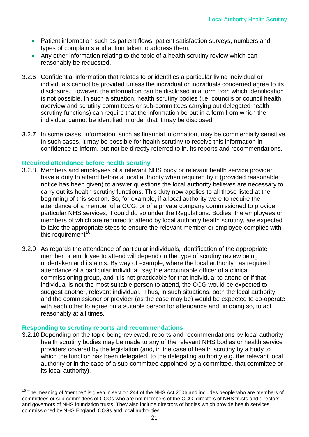- Patient information such as patient flows, patient satisfaction surveys, numbers and types of complaints and action taken to address them.
- Any other information relating to the topic of a health scrutiny review which can reasonably be requested.
- 3.2.6 Confidential information that relates to or identifies a particular living individual or individuals cannot be provided unless the individual or individuals concerned agree to its disclosure. However, the information can be disclosed in a form from which identification is not possible. In such a situation, health scrutiny bodies (i.e. councils or council health overview and scrutiny committees or sub-committees carrying out delegated health scrutiny functions) can require that the information be put in a form from which the individual cannot be identified in order that it may be disclosed.
- 3.2.7 In some cases, information, such as financial information, may be commercially sensitive. In such cases, it may be possible for health scrutiny to receive this information in confidence to inform, but not be directly referred to in, its reports and recommendations.

#### **Required attendance before health scrutiny**

- 3.2.8 Members and employees of a relevant NHS body or relevant health service provider have a duty to attend before a local authority when required by it (provided reasonable notice has been given) to answer questions the local authority believes are necessary to carry out its health scrutiny functions. This duty now applies to all those listed at the beginning of this section. So, for example, if a local authority were to require the attendance of a member of a CCG, or of a private company commissioned to provide particular NHS services, it could do so under the Regulations. Bodies, the employees or members of which are required to attend by local authority health scrutiny, are expected to take the appropriate steps to ensure the relevant member or employee complies with this requirement<sup>[16](#page-14-1)</sup>.
- 3.2.9 As regards the attendance of particular individuals, identification of the appropriate member or employee to attend will depend on the type of scrutiny review being undertaken and its aims. By way of example, where the local authority has required attendance of a particular individual, say the accountable officer of a clinical commissioning group, and it is not practicable for that individual to attend or if that individual is not the most suitable person to attend, the CCG would be expected to suggest another, relevant individual. Thus, in such situations, both the local authority and the commissioner or provider (as the case may be) would be expected to co-operate with each other to agree on a suitable person for attendance and, in doing so, to act reasonably at all times.

#### **Responding to scrutiny reports and recommendations**

3.2.10 Depending on the topic being reviewed, reports and recommendations by local authority health scrutiny bodies may be made to any of the relevant NHS bodies or health service providers covered by the legislation (and, in the case of health scrutiny by a body to which the function has been delegated, to the delegating authority e.g. the relevant local authority or in the case of a sub-committee appointed by a committee, that committee or its local authority).

<span id="page-20-0"></span><sup>&</sup>lt;sup>16</sup> The meaning of 'member' is given in section 244 of the NHS Act 2006 and includes people who are members of committees or sub-committees of CCGs who are not members of the CCG, directors of NHS trusts and directors and governors of NHS foundation trusts. They also include directors of bodies which provide health services commissioned by NHS England, CCGs and local authorities.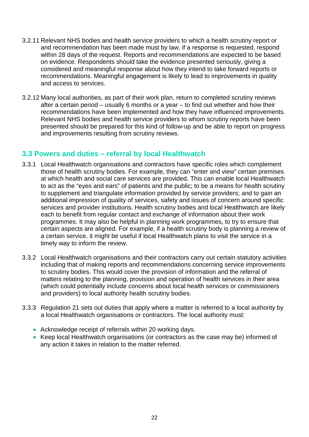- 3.2.11 Relevant NHS bodies and health service providers to which a health scrutiny report or and recommendation has been made must by law, if a response is requested, respond within 28 days of the request. Reports and recommendations are expected to be based on evidence. Respondents should take the evidence presented seriously, giving a considered and meaningful response about how they intend to take forward reports or recommendations. Meaningful engagement is likely to lead to improvements in quality and access to services.
- 3.2.12 Many local authorities, as part of their work plan, return to completed scrutiny reviews after a certain period – usually 6 months or a year – to find out whether and how their recommendations have been implemented and how they have influenced improvements. Relevant NHS bodies and health service providers to whom scrutiny reports have been presented should be prepared for this kind of follow-up and be able to report on progress and improvements resulting from scrutiny reviews.

#### **3.3 Powers and duties – referral by local Healthwatch**

- 3.3.1 Local Healthwatch organisations and contractors have specific roles which complement those of health scrutiny bodies. For example, they can "enter and view" certain premises at which health and social care services are provided. This can enable local Healthwatch to act as the "eyes and ears" of patients and the public; to be a means for health scrutiny to supplement and triangulate information provided by service providers; and to gain an additional impression of quality of services, safety and issues of concern around specific services and provider institutions. Health scrutiny bodies and local Healthwatch are likely each to benefit from regular contact and exchange of information about their work programmes. It may also be helpful in planning work programmes, to try to ensure that certain aspects are aligned. For example, if a health scrutiny body is planning a review of a certain service, it might be useful if local Healthwatch plans to visit the service in a timely way to inform the review.
- 3.3.2 Local Healthwatch organisations and their contractors carry out certain statutory activities including that of making reports and recommendations concerning service improvements to scrutiny bodies. This would cover the provision of information and the referral of matters relating to the planning, provision and operation of health services in their area (which could potentially include concerns about local health services or commissioners and providers) to local authority health scrutiny bodies.
- 3.3.3 Regulation 21 sets out duties that apply where a matter is referred to a local authority by a local Healthwatch organisations or contractors. The local authority must:
	- Acknowledge receipt of referrals within 20 working days.
	- Keep local Healthwatch organisations (or contractors as the case may be) informed of any action it takes in relation to the matter referred.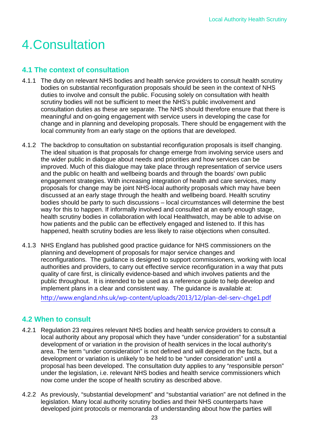# 4.Consultation

### **4.1 The context of consultation**

- 4.1.1 The duty on relevant NHS bodies and health service providers to consult health scrutiny bodies on substantial reconfiguration proposals should be seen in the context of NHS duties to involve and consult the public. Focusing solely on consultation with health scrutiny bodies will not be sufficient to meet the NHS's public involvement and consultation duties as these are separate. The NHS should therefore ensure that there is meaningful and on-going engagement with service users in developing the case for change and in planning and developing proposals. There should be engagement with the local community from an early stage on the options that are developed.
- 4.1.2 The backdrop to consultation on substantial reconfiguration proposals is itself changing. The ideal situation is that proposals for change emerge from involving service users and the wider public in dialogue about needs and priorities and how services can be improved. Much of this dialogue may take place through representation of service users and the public on health and wellbeing boards and through the boards' own public engagement strategies. With increasing integration of health and care services, many proposals for change may be joint NHS-local authority proposals which may have been discussed at an early stage through the health and wellbeing board. Health scrutiny bodies should be party to such discussions – local circumstances will determine the best way for this to happen. If informally involved and consulted at an early enough stage, health scrutiny bodies in collaboration with local Healthwatch, may be able to advise on how patients and the public can be effectively engaged and listened to. If this has happened, health scrutiny bodies are less likely to raise objections when consulted.
- 4.1.3 NHS England has published good practice guidance for NHS commissioners on the planning and development of proposals for major service changes and reconfigurations. The guidance is designed to support commissioners, working with local authorities and providers, to carry out effective service reconfiguration in a way that puts quality of care first, is clinically evidence-based and which involves patients and the public throughout. It is intended to be used as a reference guide to help develop and implement plans in a clear and consistent way. The guidance is available at:

<http://www.england.nhs.uk/wp-content/uploads/2013/12/plan-del-serv-chge1.pdf>

# **4.2 When to consult**

- 4.2.1 Regulation 23 requires relevant NHS bodies and health service providers to consult a local authority about any proposal which they have "under consideration" for a substantial development of or variation in the provision of health services in the local authority's area. The term "under consideration" is not defined and will depend on the facts, but a development or variation is unlikely to be held to be "under consideration" until a proposal has been developed. The consultation duty applies to any "responsible person" under the legislation, i.e. relevant NHS bodies and health service commissioners which now come under the scope of health scrutiny as described above.
- 4.2.2 As previously, "substantial development" and "substantial variation" are not defined in the legislation. Many local authority scrutiny bodies and their NHS counterparts have developed joint protocols or memoranda of understanding about how the parties will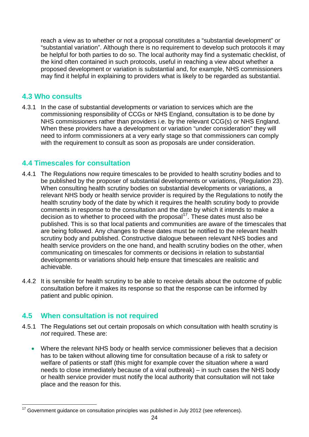reach a view as to whether or not a proposal constitutes a "substantial development" or "substantial variation". Although there is no requirement to develop such protocols it may be helpful for both parties to do so. The local authority may find a systematic checklist, of the kind often contained in such protocols, useful in reaching a view about whether a proposed development or variation is substantial and, for example, NHS commissioners may find it helpful in explaining to providers what is likely to be regarded as substantial.

#### **4.3 Who consults**

4.3.1 In the case of substantial developments or variation to services which are the commissioning responsibility of CCGs or NHS England, consultation is to be done by NHS commissioners rather than providers i.e. by the relevant CCG(s) or NHS England. When these providers have a development or variation "under consideration" they will need to inform commissioners at a very early stage so that commissioners can comply with the requirement to consult as soon as proposals are under consideration.

#### **4.4 Timescales for consultation**

- 4.4.1 The Regulations now require timescales to be provided to health scrutiny bodies and to be published by the proposer of substantial developments or variations, (Regulation 23). When consulting health scrutiny bodies on substantial developments or variations, a relevant NHS body or health service provider is required by the Regulations to notify the health scrutiny body of the date by which it requires the health scrutiny body to provide comments in response to the consultation and the date by which it intends to make a decision as to whether to proceed with the proposal<sup>[17](#page-20-0)</sup>. These dates must also be published. This is so that local patients and communities are aware of the timescales that are being followed. Any changes to these dates must be notified to the relevant health scrutiny body and published. Constructive dialogue between relevant NHS bodies and health service providers on the one hand, and health scrutiny bodies on the other, when communicating on timescales for comments or decisions in relation to substantial developments or variations should help ensure that timescales are realistic and achievable.
- 4.4.2 It is sensible for health scrutiny to be able to receive details about the outcome of public consultation before it makes its response so that the response can be informed by patient and public opinion.

#### **4.5 When consultation is not required**

- 4.5.1 The Regulations set out certain proposals on which consultation with health scrutiny is *not* required. These are:
	- Where the relevant NHS body or health service commissioner believes that a decision has to be taken without allowing time for consultation because of a risk to safety or welfare of patients or staff (this might for example cover the situation where a ward needs to close immediately because of a viral outbreak) – in such cases the NHS body or health service provider must notify the local authority that consultation will not take place and the reason for this.

<span id="page-23-0"></span> $17$  Government guidance on consultation principles was published in July 2012 (see references).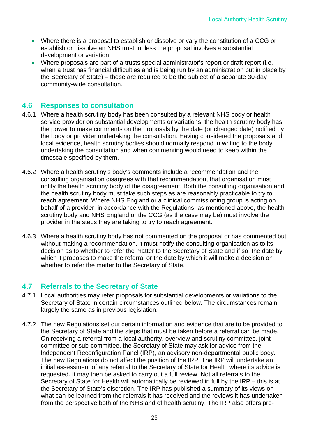- Where there is a proposal to establish or dissolve or vary the constitution of a CCG or establish or dissolve an NHS trust, unless the proposal involves a substantial development or variation.
- Where proposals are part of a trusts special administrator's report or draft report (i.e. when a trust has financial difficulties and is being run by an administration put in place by the Secretary of State) – these are required to be the subject of a separate 30-day community-wide consultation.

### **4.6 Responses to consultation**

- 4.6.1 Where a health scrutiny body has been consulted by a relevant NHS body or health service provider on substantial developments or variations, the health scrutiny body has the power to make comments on the proposals by the date (or changed date) notified by the body or provider undertaking the consultation. Having considered the proposals and local evidence, health scrutiny bodies should normally respond in writing to the body undertaking the consultation and when commenting would need to keep within the timescale specified by them.
- 4.6.2 Where a health scrutiny's body's comments include a recommendation and the consulting organisation disagrees with that recommendation, that organisation must notify the health scrutiny body of the disagreement. Both the consulting organisation and the health scrutiny body must take such steps as are reasonably practicable to try to reach agreement. Where NHS England or a clinical commissioning group is acting on behalf of a provider, in accordance with the Regulations, as mentioned above, the health scrutiny body and NHS England or the CCG (as the case may be) must involve the provider in the steps they are taking to try to reach agreement.
- 4.6.3 Where a health scrutiny body has not commented on the proposal or has commented but without making a recommendation, it must notify the consulting organisation as to its decision as to whether to refer the matter to the Secretary of State and if so, the date by which it proposes to make the referral or the date by which it will make a decision on whether to refer the matter to the Secretary of State.

### **4.7 Referrals to the Secretary of State**

- 4.7.1 Local authorities may refer proposals for substantial developments or variations to the Secretary of State in certain circumstances outlined below. The circumstances remain largely the same as in previous legislation.
- 4.7.2 The new Regulations set out certain information and evidence that are to be provided to the Secretary of State and the steps that must be taken before a referral can be made. On receiving a referral from a local authority, overview and scrutiny committee, joint committee or sub-committee, the Secretary of State may ask for advice from the Independent Reconfiguration Panel (IRP), an advisory non-departmental public body. The new Regulations do not affect the position of the IRP. The IRP will undertake an initial assessment of any referral to the Secretary of State for Health where its advice is requested**.** It may then be asked to carry out a full review. Not all referrals to the Secretary of State for Health will automatically be reviewed in full by the IRP – this is at the Secretary of State's discretion. The IRP has published a summary of its views on what can be learned from the referrals it has received and the reviews it has undertaken from the perspective both of the NHS and of health scrutiny. The IRP also offers pre-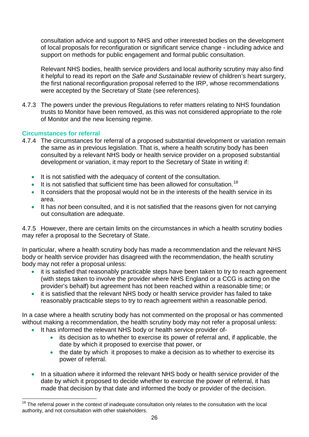consultation advice and support to NHS and other interested bodies on the development of local proposals for reconfiguration or significant service change - including advice and support on methods for public engagement and formal public consultation.

Relevant NHS bodies, health service providers and local authority scrutiny may also find it helpful to read its report on the *Safe and Sustainable* review of children's heart surgery, the first national reconfiguration proposal referred to the IRP, whose recommendations were accepted by the Secretary of State (see references).

4.7.3 The powers under the previous Regulations to refer matters relating to NHS foundation trusts to Monitor have been removed, as this was not considered appropriate to the role of Monitor and the new licensing regime.

#### **Circumstances for referral**

- 4.7.4 The circumstances for referral of a proposed substantial development or variation remain the same as in previous legislation. That is, where a health scrutiny body has been consulted by a relevant NHS body or health service provider on a proposed substantial development or variation, it may report to the Secretary of State in writing if:
	- It is not satisfied with the adequacy of content of the consultation.
	- $\bullet$  It is not satisfied that sufficient time has been allowed for consultation.<sup>[18](#page-23-0)</sup>
	- It considers that the proposal would not be in the interests of the health service in its area.
	- It has *not* been consulted, and it is not satisfied that the reasons given for not carrying out consultation are adequate.

4.7.5 However, there are certain limits on the circumstances in which a health scrutiny bodies may refer a proposal to the Secretary of State.

In particular, where a health scrutiny body has made a recommendation and the relevant NHS body or health service provider has disagreed with the recommendation, the health scrutiny body may not refer a proposal unless:

- it is satisfied that reasonably practicable steps have been taken to try to reach agreement (with steps taken to involve the provider where NHS England or a CCG is acting on the provider's behalf) but agreement has not been reached within a reasonable time; or
- it is satisfied that the relevant NHS body or health service provider has failed to take reasonably practicable steps to try to reach agreement within a reasonable period.

In a case where a health scrutiny body has not commented on the proposal or has commented without making a recommendation, the health scrutiny body may not refer a proposal unless:

- It has informed the relevant NHS body or health service provider of-
	- its decision as to whether to exercise its power of referral and, if applicable, the date by which it proposed to exercise that power, or
	- the date by which it proposes to make a decision as to whether to exercise its power of referral.
- In a situation where it informed the relevant NHS body or health service provider of the date by which it proposed to decide whether to exercise the power of referral, it has made that decision by that date and informed the body or provider of the decision.

<span id="page-25-0"></span> $18$  The referral power in the context of inadequate consultation only relates to the consultation with the local authority, and not consultation with other stakeholders.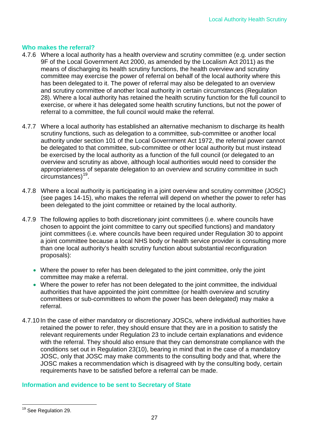#### **Who makes the referral?**

- 4.7.6 Where a local authority has a health overview and scrutiny committee (e.g. under section 9F of the Local Government Act 2000, as amended by the Localism Act 2011) as the means of discharging its health scrutiny functions, the health overview and scrutiny committee may exercise the power of referral on behalf of the local authority where this has been delegated to it. The power of referral may also be delegated to an overview and scrutiny committee of another local authority in certain circumstances (Regulation 28). Where a local authority has retained the health scrutiny function for the full council to exercise, or where it has delegated some health scrutiny functions, but not the power of referral to a committee, the full council would make the referral.
- 4.7.7 Where a local authority has established an alternative mechanism to discharge its health scrutiny functions, such as delegation to a committee, sub-committee or another local authority under section 101 of the Local Government Act 1972, the referral power cannot be delegated to that committee, sub-committee or other local authority but must instead be exercised by the local authority as a function of the full council (or delegated to an overview and scrutiny as above, although local authorities would need to consider the appropriateness of separate delegation to an overview and scrutiny committee in such circumstances)<sup>19</sup>.
- 4.7.8 Where a local authority is participating in a joint overview and scrutiny committee (JOSC) (see pages 14-15), who makes the referral will depend on whether the power to refer has been delegated to the joint committee or retained by the local authority.
- 4.7.9 The following applies to both discretionary joint committees (i.e. where councils have chosen to appoint the joint committee to carry out specified functions) and mandatory joint committees (i.e. where councils have been required under Regulation 30 to appoint a joint committee because a local NHS body or health service provider is consulting more than one local authority's health scrutiny function about substantial reconfiguration proposals):
	- Where the power to refer has been delegated to the joint committee, only the joint committee may make a referral.
	- Where the power to refer has not been delegated to the joint committee, the individual authorities that have appointed the joint committee (or health overview and scrutiny committees or sub-committees to whom the power has been delegated) may make a referral.
- 4.7.10 In the case of either mandatory or discretionary JOSCs, where individual authorities have retained the power to refer, they should ensure that they are in a position to satisfy the relevant requirements under Regulation 23 to include certain explanations and evidence with the referral. They should also ensure that they can demonstrate compliance with the conditions set out in Regulation 23(10), bearing in mind that in the case of a mandatory JOSC, only that JOSC may make comments to the consulting body and that, where the JOSC makes a recommendation which is disagreed with by the consulting body, certain requirements have to be satisfied before a referral can be made.

#### **Information and evidence to be sent to Secretary of State**

<sup>&</sup>lt;sup>19</sup> See Regulation 29.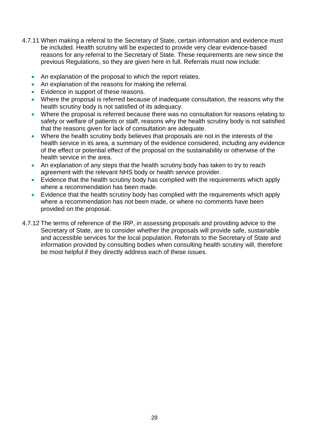- 4.7.11 When making a referral to the Secretary of State, certain information and evidence must be included. Health scrutiny will be expected to provide very clear evidence-based reasons for any referral to the Secretary of State. These requirements are new since the previous Regulations, so they are given here in full. Referrals must now include:
	- An explanation of the proposal to which the report relates.
	- An explanation of the reasons for making the referral.
	- Evidence in support of these reasons.
	- Where the proposal is referred because of inadequate consultation, the reasons why the health scrutiny body is not satisfied of its adequacy.
	- Where the proposal is referred because there was no consultation for reasons relating to safety or welfare of patients or staff, reasons why the health scrutiny body is not satisfied that the reasons given for lack of consultation are adequate.
	- Where the health scrutiny body believes that proposals are not in the interests of the health service in its area, a summary of the evidence considered, including any evidence of the effect or potential effect of the proposal on the sustainability or otherwise of the health service in the area.
	- An explanation of any steps that the health scrutiny body has taken to try to reach agreement with the relevant NHS body or health service provider.
	- Evidence that the health scrutiny body has complied with the requirements which apply where a recommendation has been made.
	- Evidence that the health scrutiny body has complied with the requirements which apply where a recommendation has not been made, or where no comments have been provided on the proposal.
- 4.7.12 The terms of reference of the IRP, in assessing proposals and providing advice to the Secretary of State, are to consider whether the proposals will provide safe, sustainable and accessible services for the local population. Referrals to the Secretary of State and information provided by consulting bodies when consulting health scrutiny will, therefore be most helpful if they directly address each of these issues.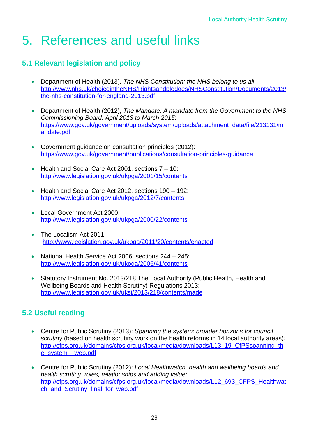# 5. References and useful links

# **5.1 Relevant legislation and policy**

- Department of Health (2013), *The NHS Constitution: the NHS belong to us all*: [http://www.nhs.uk/choiceintheNHS/Rightsandpledges/NHSConstitution/Documents/2013/](http://www.nhs.uk/choiceintheNHS/Rightsandpledges/NHSConstitution/Documents/2013/the-nhs-constitution-for-england-2013.pdf) [the-nhs-constitution-for-england-2013.pdf](http://www.nhs.uk/choiceintheNHS/Rightsandpledges/NHSConstitution/Documents/2013/the-nhs-constitution-for-england-2013.pdf)
- Department of Health (2012), *The Mandate: A mandate from the Government to the NHS Commissioning Board: April 2013 to March 2015*: [https://www.gov.uk/government/uploads/system/uploads/attachment\\_data/file/213131/m](https://www.gov.uk/government/uploads/system/uploads/attachment_data/file/213131/mandate.pdf) [andate.pdf](https://www.gov.uk/government/uploads/system/uploads/attachment_data/file/213131/mandate.pdf)
- Government guidance on consultation principles (2012): <https://www.gov.uk/government/publications/consultation-principles-guidance>
- Health and Social Care Act 2001, sections 7 10: <http://www.legislation.gov.uk/ukpga/2001/15/contents>
- Health and Social Care Act 2012, sections 190 192: <http://www.legislation.gov.uk/ukpga/2012/7/contents>
- Local Government Act 2000: <http://www.legislation.gov.uk/ukpga/2000/22/contents>
- The Localism Act 2011: <http://www.legislation.gov.uk/ukpga/2011/20/contents/enacted>
- National Health Service Act 2006, sections 244 245: <http://www.legislation.gov.uk/ukpga/2006/41/contents>
- Statutory Instrument No. 2013/218 The Local Authority (Public Health, Health and Wellbeing Boards and Health Scrutiny) Regulations 2013: <http://www.legislation.gov.uk/uksi/2013/218/contents/made>

# **5.2 Useful reading**

- Centre for Public Scrutiny (2013): *Spanning the system: broader horizons for council scrutiny* (based on health scrutiny work on the health reforms in 14 local authority areas)*:*  [http://cfps.org.uk/domains/cfps.org.uk/local/media/downloads/L13\\_19\\_CfPSspanning\\_th](http://cfps.org.uk/domains/cfps.org.uk/local/media/downloads/L13_19_CfPSspanning_the_system__web.pdf) [e\\_system\\_\\_web.pdf](http://cfps.org.uk/domains/cfps.org.uk/local/media/downloads/L13_19_CfPSspanning_the_system__web.pdf)
- Centre for Public Scrutiny (2012): *Local Healthwatch, health and wellbeing boards and health scrutiny: roles, relationships and adding value:*  [http://cfps.org.uk/domains/cfps.org.uk/local/media/downloads/L12\\_693\\_CFPS\\_Healthwat](http://cfps.org.uk/domains/cfps.org.uk/local/media/downloads/L12_693_CFPS_Healthwatch_and_Scrutiny_final_for_web.pdf) [ch\\_and\\_Scrutiny\\_final\\_for\\_web.pdf](http://cfps.org.uk/domains/cfps.org.uk/local/media/downloads/L12_693_CFPS_Healthwatch_and_Scrutiny_final_for_web.pdf)